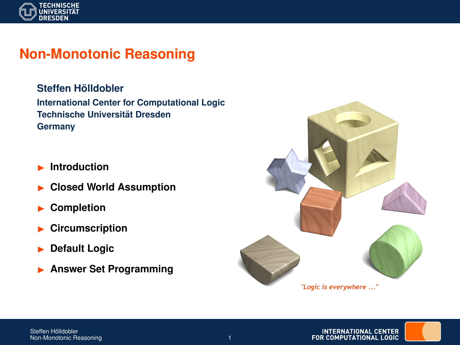

# **Non-Monotonic Reasoning**

 $Steffen H<sub>o</sub>$ *ildobler* **International Center for Computational Logic Technische Universitat Dresden ¨ Germany**

- **Introduction**
- **Closed World Assumption**
- I **Completion**
- I **Circumscription**
- **Default Logic**
- **Answer Set Programming**



**INTERNATIONAL CENTER** FOR COMPUTATIONAL LOGIC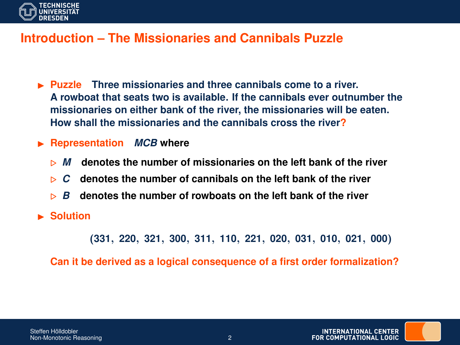

#### **Introduction – The Missionaries and Cannibals Puzzle**

- I **Puzzle Three missionaries and three cannibals come to a river. A rowboat that seats two is available. If the cannibals ever outnumber the missionaries on either bank of the river, the missionaries will be eaten. How shall the missionaries and the cannibals cross the river?**
- **EXECUTE:** Representation *MCB* where
	- . *M* **denotes the number of missionaries on the left bank of the river**
	- $\triangleright$  C denotes the number of cannibals on the left bank of the river
	- . *B* **denotes the number of rowboats on the left bank of the river**
- **E** Solution

(**331**, **220**, **321**, **300**, **311**, **110**, **221**, **020**, **031**, **010**, **021**, **000**)

**Can it be derived as a logical consequence of a first order formalization?**

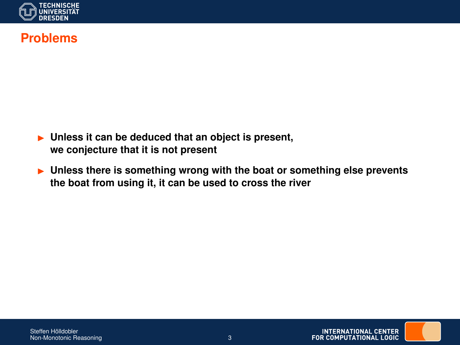

#### **Problems**

- **Inless it can be deduced that an object is present, we conjecture that it is not present**
- **Inless there is something wrong with the boat or something else prevents the boat from using it, it can be used to cross the river**

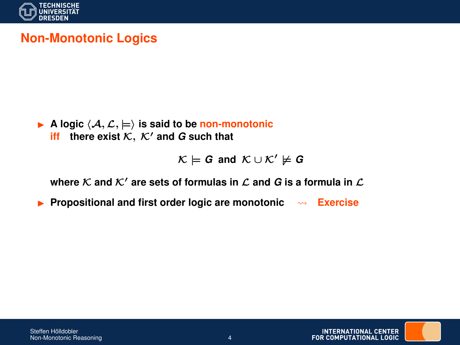

# **Non-Monotonic Logics**

A logic 
$$
\langle A, \mathcal{L}, \models \rangle
$$
 is said to be non-monotonic iff there exist  $\mathcal{K}, \mathcal{K}'$  and G such that

$$
\mathcal{K} \models G \text{ and } \mathcal{K} \cup \mathcal{K}' \not\models G
$$

where  $K$  and  $K'$  are sets of formulas in  $L$  and  $G$  is a formula in  $L$ 

**Propositional and first order logic are monotonic**  $\rightarrow$  **Exercise** 

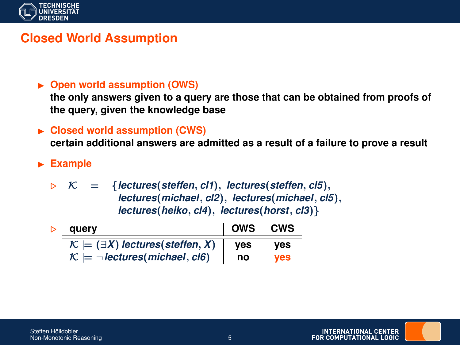

## **Closed World Assumption**

#### ▶ Open world assumption (OWS)

**the only answers given to a query are those that can be obtained from proofs of the query, given the knowledge base**

► Closed world assumption (CWS)

**certain additional answers are admitted as a result of a failure to prove a result**

**Example** 

 $\mathcal{K}$  = {*lectures*(*steffen*, *cl1*), *lectures*(*steffen*, *cl5*), *lectures*(*michael*, *cl2*), *lectures*(*michael*, *cl5*), *lectures*(*heiko*, *cl4*), *lectures*(*horst*, *cl3*)}

| auerv                                                  | OWS   CWS |     |
|--------------------------------------------------------|-----------|-----|
| $\mathcal{K} \models (\exists X)$ lectures(steffen, X) | ves       | ves |
| $\mathcal{K} \models \neg$ lectures (michael, cl6)     | no        | ves |

**INTERNATIONAL CENTER** FOR COMPUTATIONAL LOGIC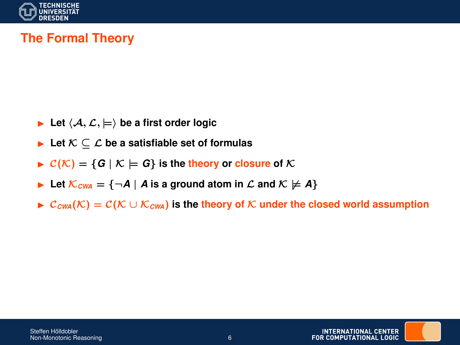

# **The Formal Theory**

- **Let**  $\langle A, \mathcal{L}, \models \rangle$  be a first order logic
- **►** Let  $K \subseteq L$  be a satisfiable set of formulas
- $\triangleright$   $C(K) = \{G \mid K \models G\}$  is the theory or closure of K
- ► Let  $\mathcal{K}_{\text{CWA}} = \{\neg A \mid A \text{ is a ground atom in } \mathcal{L} \text{ and } \mathcal{K} \not\models A\}$
- $\triangleright$  C<sub>CWA</sub>(K) = C(K ∪ K<sub>CWA</sub>) is the theory of K under the closed world assumption

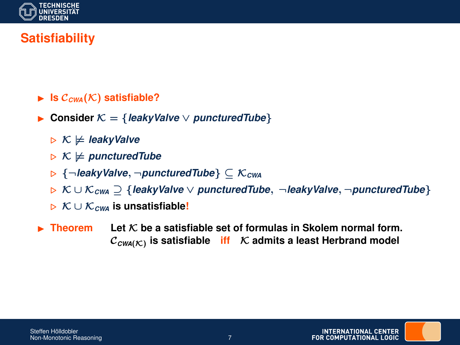

# **Satisfiability**

- $\blacktriangleright$  **Is**  $C_{\text{CWA}}(\mathcal{K})$  satisfiable?
- Consider  $K = \{leakyValue \vee puncturedTuple\}$ 
	- $\triangleright$  K  $\models$  *leakyValve*
	- $\triangleright$  K  $\not\vDash$  *puncturedTube*
	- . {¬*leakyValve*, ¬*puncturedTube*} ⊆ K*CWA*
	- . K ∪ K*CWA* ⊇ {*leakyValve* ∨ *puncturedTube*, ¬*leakyValve*, ¬*puncturedTube*}
	- . K ∪ K*CWA* **is unsatisfiable!**
- **Figure** Theorem Let  $K$  be a satisfiable set of formulas in Skolem normal form.  $\mathcal{C}_{\mathsf{CWA}(\mathcal{K})}$  is satisfiable  $\;\;$  iff  $\;\;$   $\mathcal K$  admits a least Herbrand model

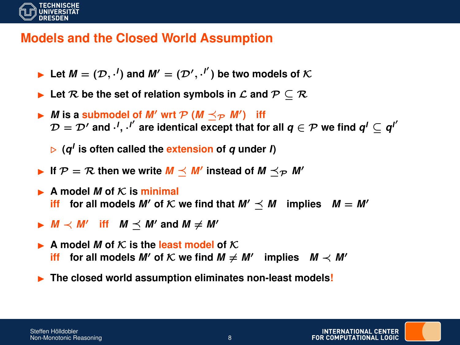

### **Models and the Closed World Assumption**

- **ILet**  $M = (\mathcal{D}, \cdot^I)$  and  $M' = (\mathcal{D}', \cdot^{I'})$  be two models of  $\mathcal{K}$
- **Let**  $\mathcal{R}$  be the set of relation symbols in  $\mathcal{L}$  and  $\mathcal{P} \subseteq \mathcal{R}$
- $\blacktriangleright$  *M* is a submodel of *M'* wrt  $\mathcal{P}$  (*M*  $\preceq_{\mathcal{P}}$  *M'*) iff  $\mathcal{D}=\mathcal{D}'$  and  $\cdot^I,\cdot^{I'}$  are identical except that for all  $\pmb{q}\in\mathcal{P}$  we find  $\pmb{q}^I\subseteq\pmb{q}^{I'}$

. **(***q I* **is often called the extension of** *q* **under** *I***)**

- If  $P = R$  then we write  $M \preceq M'$  instead of  $M \preceq_{P} M'$
- $\blacktriangleright$  **A** model *M* of *K* is minimal **iff** for all models *M'* of *K* we find that  $M' \leq M$  implies  $M = M'$
- **▶**  $M \prec M'$  iff  $M \preceq M'$  and  $M \neq M'$
- $\blacktriangleright$  **A** model *M* of *K* is the least model of *K* **iff** for all models *M'* of *K* we find  $M \neq M'$  implies  $M \prec M'$
- **Fig. 2** The closed world assumption eliminates non-least models!

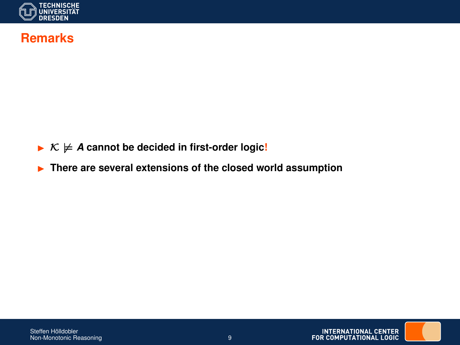

#### **Remarks**

- $\triangleright$   $\kappa \not\models A$  cannot be decided in first-order logic!
- **Figure 1** There are several extensions of the closed world assumption

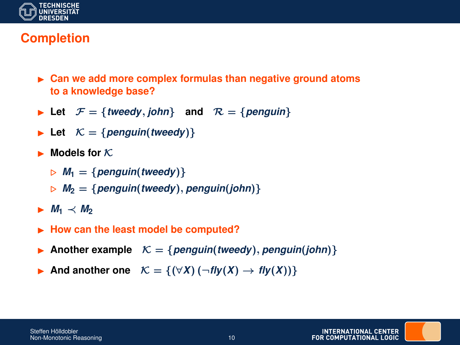

# **Completion**

- ► Can we add more complex formulas than negative ground atoms **to a knowledge base?**
- $\blacktriangleright$  Let  $\mathcal{F} = \{ \text{tweedy}, \text{John} \}$  and  $\mathcal{R} = \{ \text{penguin} \}$
- $\blacktriangleright$  Let  $\mathcal{K} = \{penguin(tweedy)\}$
- $\blacktriangleright$  **Models for** K.
	- $M_1 = \{$  penguin(*tweedy*) }
	- $M_2 = \{p$ enguin(*tweedy*), *penguin*(*john*)}
- $\blacktriangleright$  *M*<sub>1</sub>  $\prec$  *M*<sub>2</sub>
- ► How can the least model be computed?
- Another example  $K = \{penguin(tweedy), penguin(john)\}$
- **►** And another one  $K = \{(\forall X) (\neg fly(X) \rightarrow fly(X))\}$

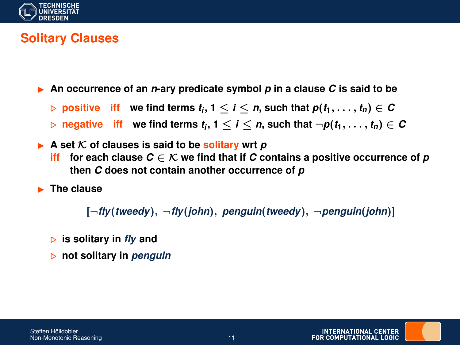

# **Solitary Clauses**

 $\triangleright$  An occurrence of an *n*-ary predicate symbol p in a clause C is said to be

 $\triangleright$  positive  $\;$  iff  $\;$  we find terms  $t_i, 1 \leq i \leq n,$  such that  $p(t_1, \ldots, t_n) \in C$ 

 $\triangleright$  negative  $\mathsf{iff}$  we find terms  $t_i, 1 \leq i \leq n$ , such that  $\neg p(t_1, \ldots, t_n) \in \mathcal{C}$ 

 $\triangleright$  A set K of clauses is said to be **solitary** wrt *p* **iff** for each clause  $C \in \mathcal{K}$  we find that if C contains a positive occurrence of p **then** *C* **does not contain another occurrence of** *p*

**F** The clause

[¬*fly*(*tweedy*), ¬*fly*(*john*), *penguin*(*tweedy*), ¬*penguin*(*john*)]

- . **is solitary in** *fly* **and**
- . **not solitary in** *penguin*

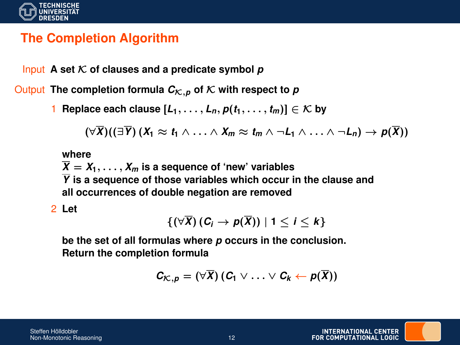

# **The Completion Algorithm**

Input **A** set  $K$  of clauses and a predicate symbol  $p$ 

Output The completion formula  $C_{\mathcal{K},p}$  of  $\mathcal{K}$  with respect to  $p$ 

1 **Replace each clause**  $[L_1, \ldots, L_n, p(t_1, \ldots, t_m)] \in \mathcal{K}$  by

$$
(\forall \overline{X})((\exists \overline{Y}) (X_1 \approx t_1 \land \ldots \land X_m \approx t_m \land \neg L_1 \land \ldots \land \neg L_n) \rightarrow p(\overline{X}))
$$

**where**

 $\overline{X} = X_1, \ldots, X_m$  is a sequence of 'new' variables

*Y* **is a sequence of those variables which occur in the clause and all occurrences of double negation are removed**

2 **Let**

$$
\{(\forall \overline{X}) (C_i \to p(\overline{X})) \mid 1 \leq i \leq k\}
$$

**be the set of all formulas where** *p* **occurs in the conclusion. Return the completion formula**

$$
C_{\mathcal{K},p}=(\forall \overline{X}) (C_1 \vee \ldots \vee C_k \leftarrow p(\overline{X}))
$$

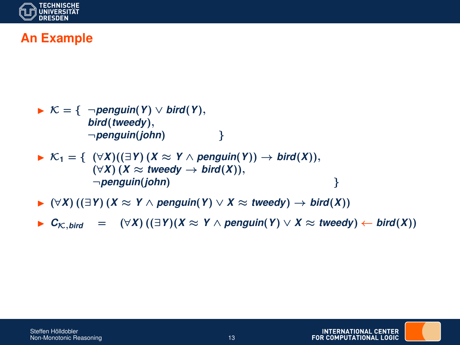

# **An Example**

► 
$$
K = \{ \neg penguin(Y) \lor bird(Y),
$$
  
\n $bird(tweedy),$   
\n $\neg penguin(john)$  }  
\n►  $K_1 = \{ (\forall X)((\exists Y) (X \approx Y \land penguin(Y)) \rightarrow bird(X)),$   
\n $(\forall X) (X \approx tweedy \rightarrow bird(X)),$   
\n $\neg penguin(john)$  }

I (∀*X*) ((∃*Y*) (*X* ≈ *Y* ∧ *penguin*(*Y*) ∨ *X* ≈ *tweedy*) → *bird*(*X*))

**►**  $C_{\mathcal{K}, \text{bird}}$  =  $(\forall X) ((\exists Y)(X \approx Y \land \text{penguin}(Y) \lor X \approx \text{tweedy}) \leftarrow \text{bird}(X))$ 



**INTERNATIONAL CENTER** FOR COMPUTATIONAL LOGIC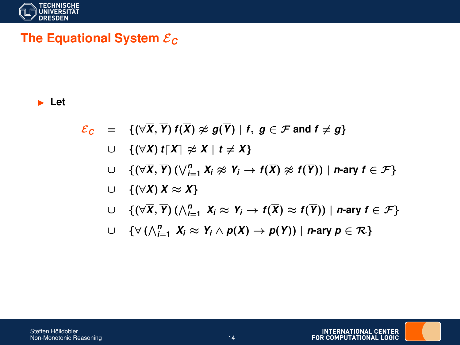

# **The Equational System** E*<sup>C</sup>*

#### ► Let

- $\mathcal{E}_C$  = { $(\forall \overline{X}, \overline{Y}) f(\overline{X}) \ncong g(\overline{Y}) | f, g \in \mathcal{F}$  and  $f \neq g$ }
	- $∪$  {(∀*X*) *t*[*X*]  $\approx$  *X* | *t*  $\neq$  *X*}
	- $\cup$  {(∀ $\overline{X}$ ,  $\overline{Y}$ ) ( $\bigvee_{i=1}^{n} X_i \ncong Y_i \rightarrow f(\overline{X}) \ncong f(\overline{Y})$ ) | *n*-ary  $f \in \mathcal{F}$ }
	- ∪ {(∀*X*) *X* ≈ *X*}
	- $\cup$  { $(\forall \overline{X}, \overline{Y}) (\wedge_{i=1}^{n} X_i \approx Y_i \rightarrow f(\overline{X}) \approx f(\overline{Y})) |$  *n*-ary  $f \in \mathcal{F}$ }
	- $\cup$  {∀  $(\bigwedge_{i=1}^{n} X_i \approx Y_i \wedge p(\overline{X}) \rightarrow p(\overline{Y}))$  | *n*-ary  $p \in \mathcal{R}$ }

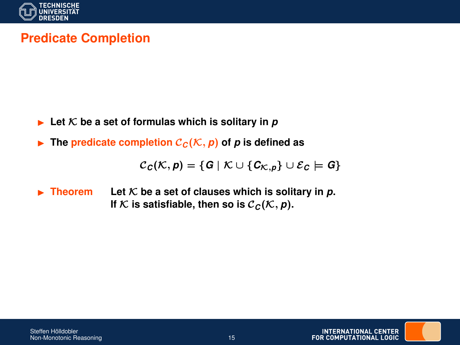

# **Predicate Completion**

- $\blacktriangleright$  Let K be a set of formulas which is solitary in p
- $\triangleright$  The predicate completion  $C_C(\mathcal{K}, p)$  of p is defined as

 $C_C(K, p) = \{G \mid K \cup \{C_{K, p}\} \cup \mathcal{E}_C \models G\}$ 

**Figurer Figurer Figurer III** Let K be a set of clauses which is solitary in p. If K is satisfiable, then so is  $C_C(\mathcal{K}, p)$ .

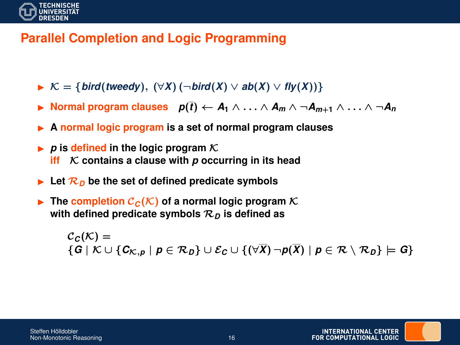

## **Parallel Completion and Logic Programming**

- $\triangleright$  K = {*bird*(*tweedy*),  $(\forall X)$  (¬*bird*(*X*)  $\lor$  *ab*(*X*)  $\lor$  *fly*(*X*))}
- **►** Normal program clauses  $p(\bar{t}) \leftarrow A_1 \wedge \ldots \wedge A_m \wedge \neg A_{m+1} \wedge \ldots \wedge \neg A_n$
- I **A normal logic program is a set of normal program clauses**
- $\triangleright$  p is defined in the logic program  $\mathcal K$ *iff* **K contains a clause with p occurring in its head**
- $\blacktriangleright$  Let  $\mathcal{R}_D$  be the set of defined predicate symbols
- **Fig. 1.1.** The completion  $C_C(\mathcal{K})$  of a normal logic program  $\mathcal{K}$ **with defined predicate symbols** R*<sup>D</sup>* **is defined as**

 $C<sub>c</sub>(K) =$ {*G* | K ∪ {*C*K,*<sup>p</sup>* | *p* ∈ R*D*} ∪ E*<sup>C</sup>* ∪ {(∀*X*) ¬*p*(*X*) | *p* ∈ R \ R*D*} |= *G*}



INTERNATIONAL CENTER **FOR COMPLITATIONAL LOGIC**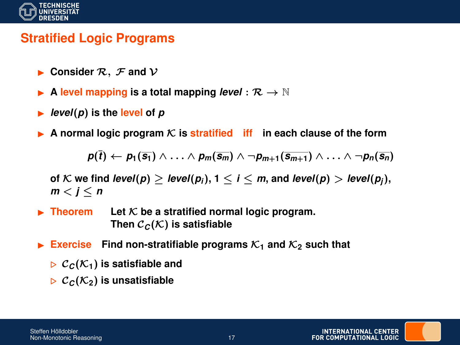

### **Stratified Logic Programs**

- **Consider**  $\mathcal{R}$ ,  $\mathcal{F}$  and  $\mathcal{V}$
- A level mapping is a total mapping *level* :  $\mathcal{R} \rightarrow \mathbb{N}$
- $level(p)$  is the **level** of  $p$
- A normal logic program  $K$  is stratified iff in each clause of the form

$$
p(\overline{t}) \leftarrow p_1(\overline{s_1}) \wedge \ldots \wedge p_m(\overline{s_m}) \wedge \neg p_{m+1}(\overline{s_{m+1}}) \wedge \ldots \wedge \neg p_n(\overline{s_n})
$$

**of** K we find *level*( $p$ )  $\geq$  *level*( $p$ <sub>*i*</sub>),  $1 \leq i \leq m$ , and *level*( $p$ )  $>$  *level*( $p$ <sub>*j*</sub>),  $m < j < n$ 

- $\blacktriangleright$  **Theorem** Let  $\mathcal K$  be a stratified normal logic program. Then  $\mathcal{C}_C(\mathcal{K})$  is satisfiable
- **Exercise** Find non-stratifiable programs  $K_1$  and  $K_2$  such that
	- $\triangleright$   $\mathcal{C}_C(\mathcal{K}_1)$  is satisfiable and
	- $\triangleright$   $\mathcal{C}_C(\mathcal{K}_2)$  is unsatisfiable

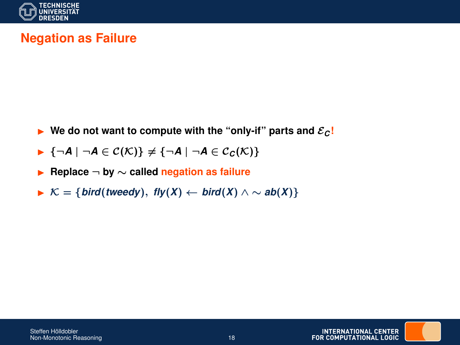

# **Negation as Failure**

- **I** We do not want to compute with the "only-if" parts and  $\mathcal{E}_C$ !
- $\blacktriangleright$  {¬*A* | ¬*A* ∈ C(K)}  $\neq$  {¬*A* | ¬*A* ∈ C<sub>C</sub>(K)}
- I **Replace** ¬ **by** ∼ **called negation as failure**
- $\triangleright$  K = {*bird*(*tweedy*), *fly*(*X*) ← *bird*(*X*) ∧ ∼ *ab*(*X*)}

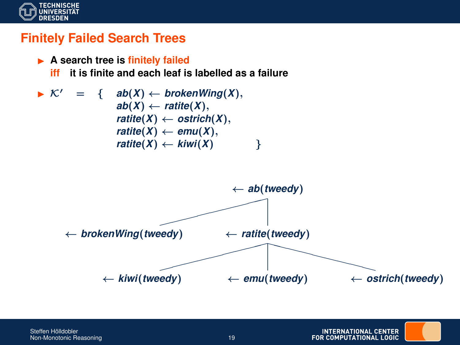

#### **Finitely Failed Search Trees**



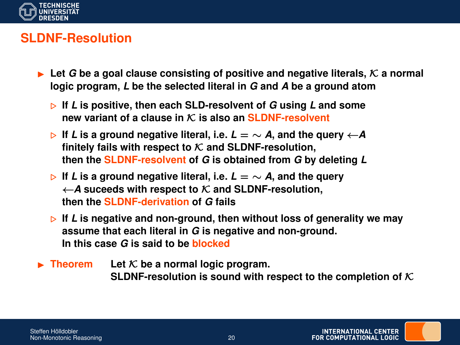

### **SLDNF-Resolution**

- $\triangleright$  Let G be a goal clause consisting of positive and negative literals, K a normal **logic program,** *L* **be the selected literal in** *G* **and** *A* **be a ground atom**
	- . **If** *L* **is positive, then each SLD-resolvent of** *G* **using** *L* **and some new variant of a clause in** K **is also an SLDNF-resolvent**
	- $\triangleright$  If *L* is a ground negative literal, i.e. *L* = ∼ *A*, and the query  $\leftarrow$  *A* finitely fails with respect to  $K$  and SLDNF-resolution, **then the SLDNF-resolvent of** *G* **is obtained from** *G* **by deleting** *L*
	- . **If** *L* **is a ground negative literal, i.e.** *L* = ∼ *A***, and the query** ←*A* **suceeds with respect to** K **and SLDNF-resolution, then the SLDNF-derivation of** *G* **fails**
	- $\triangleright$  If *L* is negative and non-ground, then without loss of generality we may **assume that each literal in** *G* **is negative and non-ground. In this case** *G* **is said to be blocked**
- $\blacktriangleright$  **Theorem** Let K be a normal logic program. **SLDNF-resolution is sound with respect to the completion of**  $K$

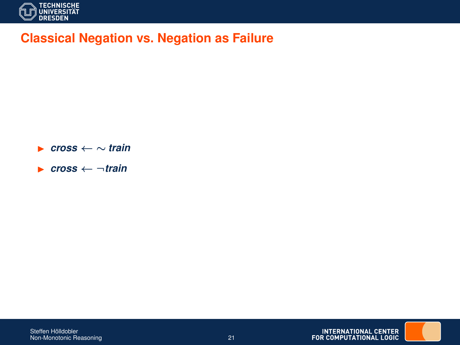

### **Classical Negation vs. Negation as Failure**

I *cross* ← ∼ *train*

I *cross* ← ¬*train*

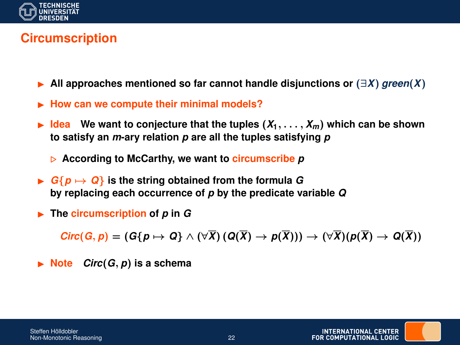

# **Circumscription**

- I **All approaches mentioned so far cannot handle disjunctions or** (∃*X*) *green*(*X*)
- I **How can we compute their minimal models?**
- $\blacktriangleright$  **Idea** We want to conjecture that the tuples  $(X_1, \ldots, X_m)$  which can be shown **to satisfy an** *m***-ary relation** *p* **are all the tuples satisfying** *p*
	- . **According to McCarthy, we want to circumscribe** *p*
- $\blacktriangleright$   $G\{p \mapsto Q\}$  is the string obtained from the formula G **by replacing each occurrence of** *p* **by the predicate variable** *Q*
- $\blacktriangleright$  The circumscription of *p* in *G*

 $Circ(G, p) = (G{p \mapsto Q} \wedge (\forall \overline{X}) (Q(\overline{X}) \rightarrow p(\overline{X}))) \rightarrow (\forall \overline{X})(p(\overline{X}) \rightarrow Q(\overline{X}))$ 

 $\triangleright$  **Note** *Circ*(*G*, *p*) is a schema

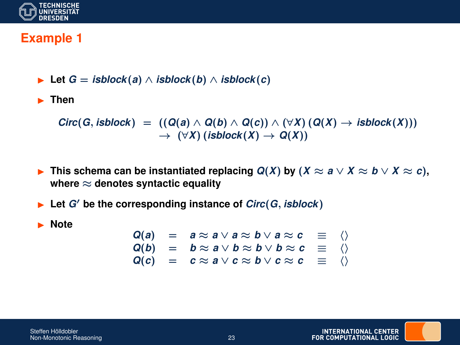

#### **Example 1**

**►** Let  $G = isblock(a) \land isblock(b) \land isblock(c)$ 

**Example** Then

 $Circ(G, isblock) = ((Q(a) \wedge Q(b) \wedge Q(c)) \wedge (\forall X) (Q(X) \rightarrow isblock(X)))$  $\rightarrow$  ( $\forall X$ ) (*isblock*(*X*)  $\rightarrow$  *Q*(*X*))

- **►** This schema can be instantiated replacing  $Q(X)$  by  $(X \approx a \vee X \approx b \vee X \approx c)$ , **where** ≈ **denotes syntactic equality**
- $\blacktriangleright$  Let *G*<sup> $\prime$ </sup> be the corresponding instance of *Circ*(*G*, *isblock*)
- **Note**

$$
Q(a) = a \approx a \lor a \approx b \lor a \approx c \equiv \langle \rangle
$$
  
\n
$$
Q(b) = b \approx a \lor b \approx b \lor b \approx c \equiv \langle \rangle
$$
  
\n
$$
Q(c) = c \approx a \lor c \approx b \lor c \approx c \equiv \langle \rangle
$$

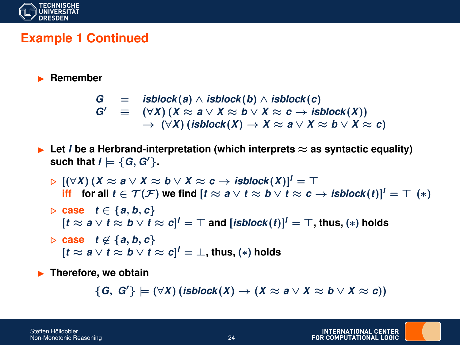

# **Example 1 Continued**

#### **E** Remember

$$
G = \mathsf{isblock}(a) \land \mathsf{isblock}(b) \land \mathsf{isblock}(c) G' \equiv (\forall X) (X \approx a \lor X \approx b \lor X \approx c \rightarrow \mathsf{isblock}(X)) \rightarrow (\forall X) (\mathsf{isblock}(X) \rightarrow X \approx a \lor X \approx b \lor X \approx c)
$$

- **Example 2** Let *I* be a Herbrand-interpretation (which interprets  $\approx$  as syntactic equality) **such that**  $I \models \{G, G'\}.$ 
	- $\triangleright$   $[(\forall X) (X ≈ a ∨ X ≈ b ∨ X ≈ c → isblock(X)]^T = \top$ **iff** for all  $t \in \mathcal{T}(\mathcal{F})$  we find  $[t \approx a \vee t \approx b \vee t \approx c \rightarrow isblock(t)]^t = \top$  (\*)
	- . **case** *t* ∈ {*a*, *b*, *c*}  $[t \approx a \lor t \approx b \lor t \approx c]^l = \top$  and  $[\mathit{isblock}(t)]^l = \top,$  thus,  $(*)$  holds
	- $\triangleright$  **case** *t* ∉ {*a*, *b*, *c*}  $[t \approx a \vee t \approx b \vee t \approx c]^l = \bot$ , thus,  $(*)$  holds

**F** Therefore, we obtain

 ${G, G'} \models (\forall X) (isblock(X) \rightarrow (X \approx a \vee X \approx b \vee X \approx c))$ 

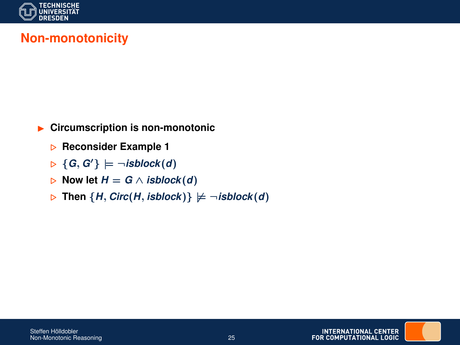

# **Non-monotonicity**

- **EXECUTE:** Circumscription is non-monotonic
	- . **Reconsider Example 1**
	- $\triangleright \{G, G'\}\models \neg \textit{isblock}(d)$
	- $▶$  Now let  $H = G \wedge$  *isblock*(*d*)
	- $\triangleright$  Then {*H*, *Circ*(*H*, *isblock*)}  $\not\models$   $\neg$ *isblock*(*d*)

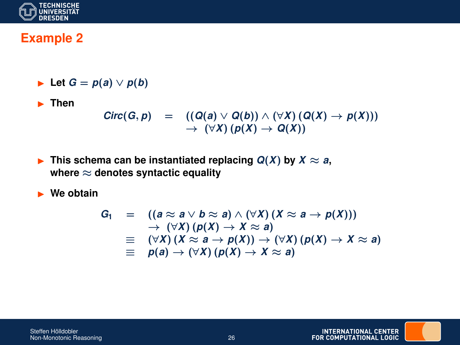

# **Example 2**

**►** Let  $G = p(a) \vee p(b)$ 

**F** Then

$$
Circ(G, p) = ((Q(a) \vee Q(b)) \wedge (\forall X) (Q(X) \rightarrow p(X)))
$$
  

$$
\rightarrow (\forall X) (p(X) \rightarrow Q(X))
$$

**►** This schema can be instantiated replacing  $Q(X)$  by  $X \approx a$ , **where** ≈ **denotes syntactic equality**

**Ne obtain** 

$$
G_1 = ((a \approx a \lor b \approx a) \land (\forall X) (X \approx a \to p(X)))
$$
  
\n
$$
\rightarrow (\forall X) (p(X) \to X \approx a)
$$
  
\n
$$
\equiv (\forall X) (X \approx a \to p(X)) \to (\forall X) (p(X) \to X \approx a)
$$
  
\n
$$
\equiv p(a) \to (\forall X) (p(X) \to X \approx a)
$$

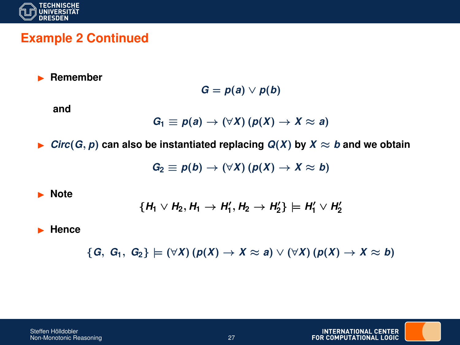

#### **Example 2 Continued**

I **Remember**

$$
G = p(a) \vee p(b)
$$

**and**

$$
G_1 \equiv p(a) \rightarrow (\forall X) (p(X) \rightarrow X \approx a)
$$

▶ *Circ*( $G, p$ ) can also be instantiated replacing  $Q(X)$  by  $X \approx b$  and we obtain

$$
G_2 \equiv p(b) \rightarrow (\forall X) (p(X) \rightarrow X \approx b)
$$

**Note** 

$$
\{H_1 \vee H_2, H_1 \rightarrow H_1', H_2 \rightarrow H_2'\} \models H_1' \vee H_2'
$$

I **Hence**

 ${G, G_1, G_2} \models (\forall X) (p(X) \rightarrow X \approx a) \vee (\forall X) (p(X) \rightarrow X \approx b)$ 

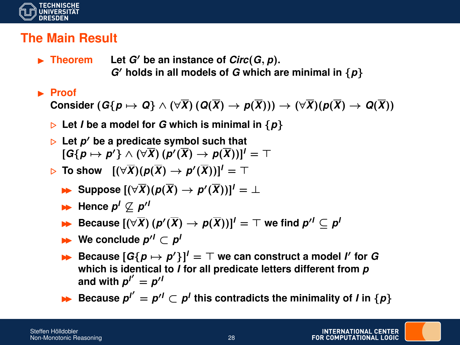

## **The Main Result**

- $\blacktriangleright$  **Theorem** Let *G'* be an instance of *Circ*(*G*, *p*).  $G'$  holds in all models of  $G$  which are minimal in  $\{p\}$
- **Exercise**

**Consider**  $(G{p \mapsto Q} \wedge (\forall \overline{X}) (Q(\overline{X}) \rightarrow p(\overline{X}))) \rightarrow (\forall \overline{X})(p(\overline{X}) \rightarrow Q(\overline{X}))$ 

- $\triangleright$  Let *I* be a model for *G* which is minimal in  $\{p\}$
- . **Let** *p* <sup>0</sup> **be a predicate symbol such that**  $[\mathsf{G}\{\boldsymbol{p}\mapsto\boldsymbol{p}'\}\wedge(\forall\overline{X})(\boldsymbol{p}'(\overline{X})\rightarrow\boldsymbol{p}(\overline{X}))]^{I}=\top$
- $\triangleright$  To show  $[(\forall \overline{X})(p(\overline{X}) \rightarrow p'(\overline{X}))]' = \top$ 
	- $\blacktriangleright$  Suppose  $[(\forall \overline{X})(p(\overline{X}) \rightarrow p'(\overline{X}))]' = \bot$
	- $\blacktriangleright$  Hence  $p' \not\subseteq p''$
	- $\blacktriangleright$  Because  $[(\forall \overline{X})(p'(\overline{X}) \rightarrow p(\overline{X}))]' = \top$  we find  $p'' \subseteq p^{n}$
	- $\blacktriangleright$  We conclude  $p'' ⊂ p'$
	- $\blacktriangleright$  Because  $[G\{p \mapsto p'\}]^T = T$  we can construct a model *I'* for *G* **which is identical to** *I* **for all predicate letters different from** *p* and with  $p^{\prime\prime}=p^{\prime\prime}$
	- $\triangleright$  Because  $p^{l'} = p^{l'} \subset p^l$  this contradicts the minimality of *I* in {*p*}

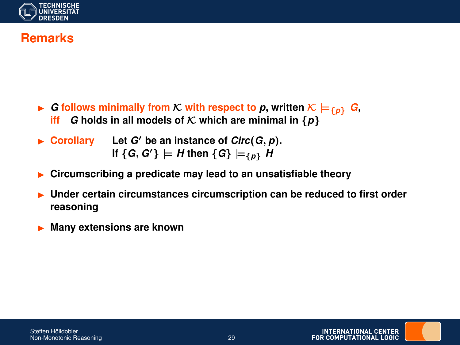

## **Remarks**

- ▶ *G* **follows minimally from** *K* with respect to *p*, written  $K \models \{p\}$  *G*, ift *G* holds in all models of *K* which are minimal in  $\{p\}$ *G* holds in all models of  $K$  which are minimal in  $\{p\}$
- $\blacktriangleright$  **Corollary** Let *G'* be an instance of *Circ*(*G*, *p*). If  $\{G, G'\}\models H$  then  $\{G\}\models_{\{p\}} H$
- I **Circumscribing a predicate may lead to an unsatisfiable theory**
- **Inder certain circumstances circumscription can be reduced to first order reasoning**
- I **Many extensions are known**

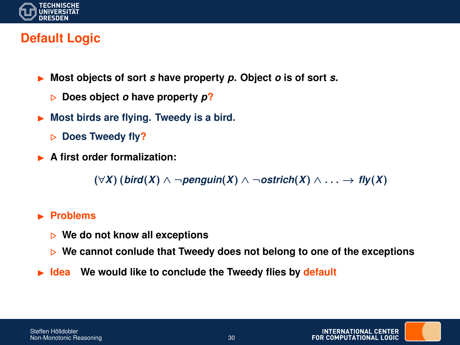

# **Default Logic**

- I **Most objects of sort** *s* **have property** *p***. Object** *o* **is of sort** *s***.**
	- . **Does object** *o* **have property** *p***?**
- I **Most birds are flying. Tweedy is a bird.**
	- . **Does Tweedy fly?**
- **A first order formalization:**

(∀*X*) (*bird*(*X*) ∧ ¬*penguin*(*X*) ∧ ¬*ostrich*(*X*) ∧ . . . → *fly*(*X*)

#### **Exercise Problems**

- . **We do not know all exceptions**
- **▶ We cannot conlude that Tweedy does not belong to one of the exceptions**
- **Idea** We would like to conclude the Tweedy flies by default

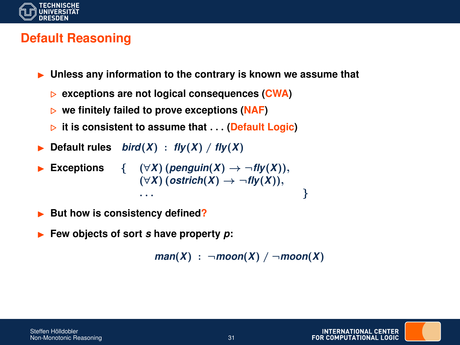

# **Default Reasoning**

- I **Unless any information to the contrary is known we assume that**
	- . **exceptions are not logical consequences (CWA)**
	- **▷** we finitely failed to prove exceptions (NAF)
	- . **it is consistent to assume that** . . . **(Default Logic)**
- Default rules  $bird(X)$ :  $fly(X)$  /  $fly(X)$
- **► Exceptions** {  $(∀X) (penguin(X) → ¬fly(X)),$ (∀*X*) (*ostrich*(*X*) → ¬*fly*(*X*)), . . . }
- But how is consistency defined?
- I **Few objects of sort** *s* **have property** *p***:**

```
man(X) : \neg moon(X) / \neg moon(X)
```
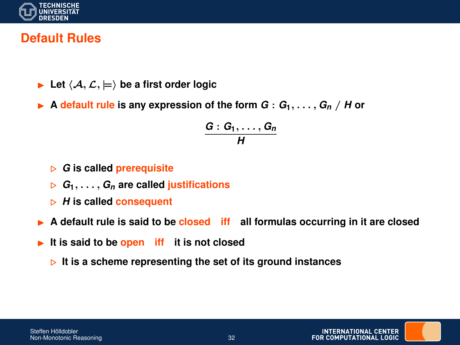

## **Default Rules**

- **In Let**  $\langle A, \mathcal{L}, \models \rangle$  be a first order logic
- A **default** rule is any expression of the form  $G: G_1, \ldots, G_n \neq H$  or

$$
\frac{G:G_1,\ldots,G_n}{H}
$$

- . *G* **is called prerequisite**
- $G_1, \ldots, G_n$  are called **justifications**
- $\triangleright$  *H* is called consequent
- I **A default rule is said to be closed iff all formulas occurring in it are closed**
- **It is said to be open iff it is not closed** 
	- **▷ It is a scheme representing the set of its ground instances**

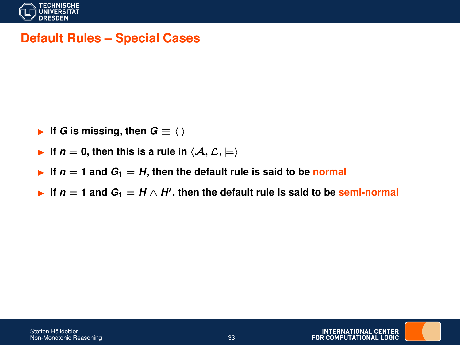

## **Default Rules – Special Cases**

- **►** If *G* is missing, then  $G \equiv \langle \rangle$
- If  $n = 0$ , then this is a rule in  $\langle A, \mathcal{L}, \models \rangle$
- If  $n = 1$  and  $G_1 = H$ , then the default rule is said to be normal
- **►** If  $n = 1$  and  $G_1 = H \wedge H'$ , then the default rule is said to be semi-normal

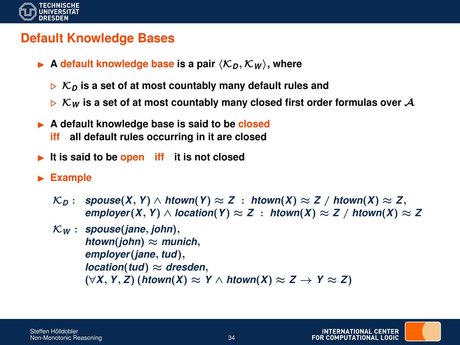

### **Default Knowledge Bases**

- $\blacktriangleright$  A default knowledge base is a pair  $\langle \mathcal{K}_D, \mathcal{K}_W \rangle$ , where
	- $\triangleright$  K<sub>D</sub> is a set of at most countably many default rules and
	- $\triangleright$  K<sub>W</sub> is a set of at most countably many closed first order formulas over A
- ▶ A default knowledge base is said to be **closed iff all default rules occurring in it are closed**
- **It is said to be open iff it is not closed**
- **Example** 
	- K*<sup>D</sup>* : *spouse*(*X*, *Y*) ∧ *htown*(*Y*) ≈ *Z* : *htown*(*X*) ≈ *Z* / *htown*(*X*) ≈ *Z*, *employer*(*X*, *Y*)  $\land$  *location*(*Y*)  $\approx$  *Z* : *htown*(*X*)  $\approx$  *Z* / *htown*(*X*)  $\approx$  *Z*
	- K*<sup>W</sup>* : *spouse*(*jane*, *john*), *htown*(*john*)  $\approx$  *munich*, *employer*(*jane*, *tud*),  $location(tud) \approx d$ resden, (∀*X*, *Y*, *Z*) (*htown*(*X*) ≈ *Y* ∧ *htown*(*X*) ≈ *Z* → *Y* ≈ *Z*)

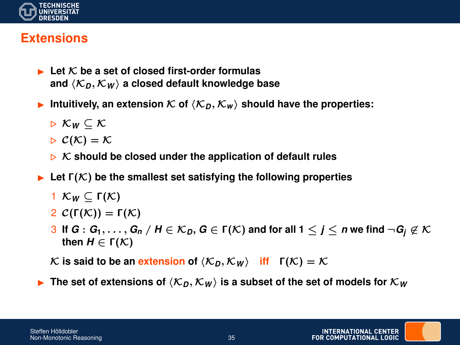

#### **Extensions**

- $\blacksquare$  Let K be a set of closed first-order formulas and  $\langle K_D, K_W \rangle$  a closed default knowledge base
- Intuitively, an extension  $K$  of  $\langle K_n, K_w \rangle$  should have the properties:

$$
\triangleright \; \mathcal{K}_W \subseteq \mathcal{K}
$$

$$
\triangleright \mathcal{C}(\mathcal{K}) = \mathcal{K}
$$

- $\triangleright$  K should be closed under the application of default rules
- $\blacktriangleright$  Let  $\Gamma(\mathcal{K})$  be the smallest set satisfying the following properties

$$
1 \mathcal{K}_W \subseteq \Gamma(\mathcal{K})
$$

- 2  $\mathcal{C}(\Gamma(\mathcal{K})) = \Gamma(\mathcal{K})$
- 3 If  $G: G_1, \ldots, G_n$  /  $H \in \mathcal{K}_D$ ,  $G \in \Gamma(\mathcal{K})$  and for all  $1 \leq j \leq n$  we find  $\neg G_j \not\in \mathcal{K}$ **then** *H* ∈ Γ(K)

 $\mathcal{K}$  is said to be an extension of  $\langle \mathcal{K}_D, \mathcal{K}_W \rangle$  iff  $\Gamma(\mathcal{K}) = \mathcal{K}$ 

**F** The set of extensions of  $\langle K_n, K_w \rangle$  is a subset of the set of models for  $K_w$ 

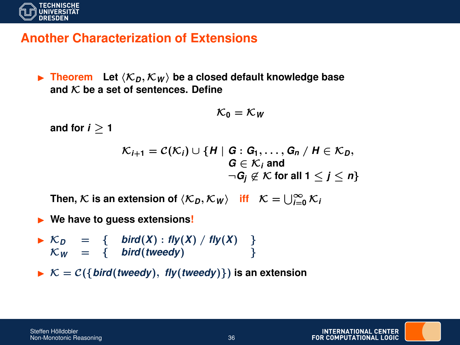

#### **Another Characterization of Extensions**

**Figure 1.1.** Theorem Let  $\langle K_D, K_W \rangle$  be a closed default knowledge base **and** K **be a set of sentences. Define**

$$
\mathcal{K}_0=\mathcal{K}_W
$$

and for  $i > 1$ 

$$
\mathcal{K}_{i+1} = \mathcal{C}(\mathcal{K}_i) \cup \{H \mid G : G_1, \ldots, G_n \mid H \in \mathcal{K}_D, \\ G \in \mathcal{K}_i \text{ and } \\ \neg G_j \not\in \mathcal{K} \text{ for all } 1 \leq j \leq n \}
$$

Then,  $\mathcal{K}$  is an extension of  $\langle K_D, K_W \rangle$  iff  $K = \bigcup_{i=0}^{\infty} K_i$ 

- **I** We have to quess extensions!
- $\triangleright$  K<sub>D</sub> = { bird(*X*) : *fly*(*X*) / *fly*(*X*) }  $\mathcal{K}_W = \{ \quad \text{bird}(\text{tweedy}) \}$
- $\triangleright$   $K = C({$ *lird*(*tweedy*), *fly*(*tweedy*) $})$  is an extension

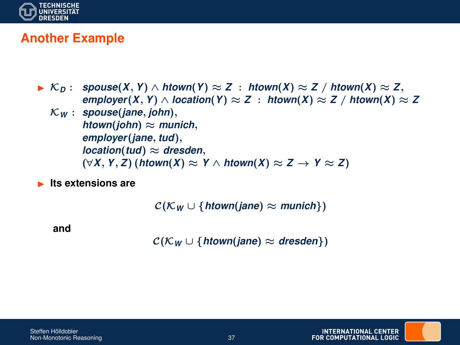

## **Another Example**

- I K*<sup>D</sup>* : *spouse*(*X*, *Y*) ∧ *htown*(*Y*) ≈ *Z* : *htown*(*X*) ≈ *Z* / *htown*(*X*) ≈ *Z*, *employer*(*X*, *Y*) ∧ *location*(*Y*) ≈ *Z* : *htown*(*X*) ≈ *Z* / *htown*(*X*) ≈ *Z* 
	- K*<sup>W</sup>* : *spouse*(*jane*, *john*), *htown*(*john*)  $\approx$  *munich*, *employer*(*jane*, *tud*), *location*(*tud*) ≈ *dresden*, (∀*X*, *Y*, *Z*) (*htown*(*X*) ≈ *Y* ∧ *htown*(*X*) ≈ *Z* → *Y* ≈ *Z*)
- **Its extensions are**

 $C(\mathcal{K}_W \cup \{\text{htown}(\text{iane}) \approx \text{munich}\})$ 

**and**

 $C(\mathcal{K}_W \cup \{htown(jane) \approx dresden\})$ 

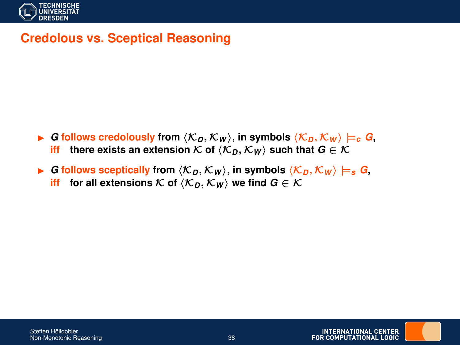

## **Credolous vs. Sceptical Reasoning**

- **►** *G* **follows credolously from**  $\langle K_D, K_W \rangle$ **, in symbols**  $\langle K_D, K_W \rangle \models_c G$ **, iff** there exists an extension  $K$  of  $\langle K_D, K_W \rangle$  such that  $G \in \mathcal{K}$ **iffere exists an extension** K of  $\langle K_n, K_W \rangle$  such that  $G \in K$
- ▶ *G* follows sceptically from  $\langle K_D, K_W \rangle$ , in symbols  $\langle K_D, K_W \rangle \models_s G$ , **iff** for all extensions K of  $\langle K_D, K_W \rangle$  we find  $G \in K$

**INTERNATIONAL CENTER** FOR COMPUTATIONAL LOGIC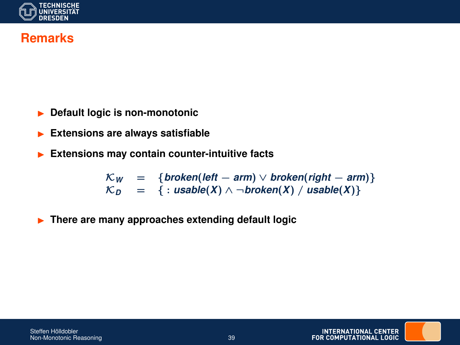

### **Remarks**

- **Default logic is non-monotonic**
- **Extensions are always satisfiable**
- **Extensions may contain counter-intuitive facts**

 $\mathcal{K}_W$  = {*broken*(*left* – *arm*)  $\lor$  *broken*(*right* – *arm*)}  $\mathcal{K}_D$  = { : *usable*(*X*)  $\wedge \neg broken(X) /$  *usable*(*X*)}

**Figure 1.5 There are many approaches extending default logic** 

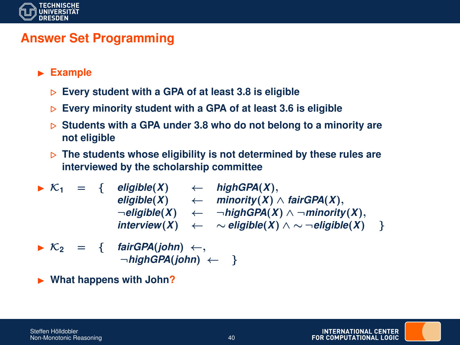

# **Answer Set Programming**

- **Example** 
	- . **Every student with a GPA of at least 3.8 is eligible**
	- . **Every minority student with a GPA of at least 3.6 is eligible**
	- **▷ Students with a GPA under 3.8 who do not belong to a minority are not eligible**
	- $\triangleright$  The students whose eligibility is not determined by these rules are **interviewed by the scholarship committee**

► K<sub>1</sub> = { 
$$
\text{eligible}(X)
$$
  $\leftarrow$  highGPA(X),  
\n $\text{eligible}(X)$   $\leftarrow$  minority(X)  $\wedge$  fairGPA(X),  
\n $\neg \text{eligible}(X)$   $\leftarrow$   $\neg \text{highGPA}(X) \wedge \neg \text{minority}(X),\ninterview(X)  $\leftarrow$   $\sim$  eligible(X)  $\wedge \sim \neg \text{eligible}(X)$  }$ 

$$
\triangleright \mathcal{K}_2 = \{ \quad \text{fairGPA}(john) \leftarrow, \\ \neg \text{highGPA}(john) \leftarrow \}
$$

I **What happens with John?**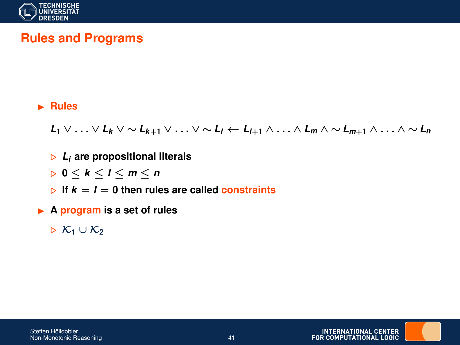

# **Rules and Programs**

#### I **Rules**

*L***<sup>1</sup>** ∨ . . . ∨ *L<sup>k</sup>* ∨ ∼ *Lk*+**<sup>1</sup>** ∨ . . . ∨ ∼ *L<sup>l</sup>* ← *Ll*+**<sup>1</sup>** ∧ . . . ∧ *L<sup>m</sup>* ∧ ∼ *Lm*+**<sup>1</sup>** ∧ . . . ∧ ∼ *L<sup>n</sup>*

- . *L<sup>i</sup>* **are propositional literals**
- . **0** ≤ *k* ≤ *l* ≤ *m* ≤ *n*
- $\triangleright$  If  $k = l = 0$  then rules are called constraints
- ▶ A **program** is a set of rules
	- . K**<sup>1</sup>** ∪ K**<sup>2</sup>**

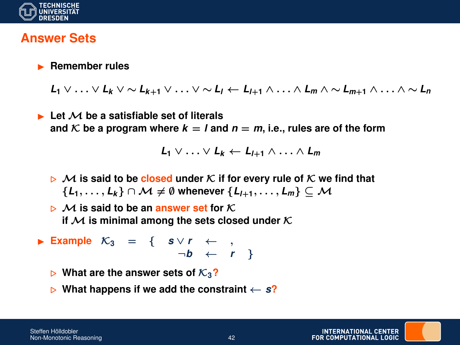

#### **Answer Sets**

#### **EXA** Remember rules

*L***<sup>1</sup>** ∨ . . . ∨ *L<sup>k</sup>* ∨ ∼ *Lk*+**<sup>1</sup>** ∨ . . . ∨ ∼ *L<sup>l</sup>* ← *Ll*+**<sup>1</sup>** ∧ . . . ∧ *L<sup>m</sup>* ∧ ∼ *Lm*+**<sup>1</sup>** ∧ . . . ∧ ∼ *L<sup>n</sup>*

I **Let** M **be a satisfiable set of literals** and  $K$  be a program where  $k = l$  and  $n = m$ , i.e., rules are of the form

$$
L_1 \vee \ldots \vee L_k \leftarrow L_{l+1} \wedge \ldots \wedge L_m
$$

- $\triangleright$  M is said to be closed under K if for every rule of K we find that  ${L_1, \ldots, L_k} ∩ \cap M \neq \emptyset$  whenever  ${L_{l+1}, \ldots, L_m} ⊂ M$
- $\triangleright$  M is said to be an answer set for K. **if**  $M$  is minimal among the sets closed under  $K$
- **► Example**  $K_3 = \{ S \lor r \leftarrow \}$  $\neg b \leftarrow r$  }
	- $\triangleright$  What are the answer sets of  $\mathcal{K}_3$ ?
	- . **What happens if we add the constraint** ← *s***?**

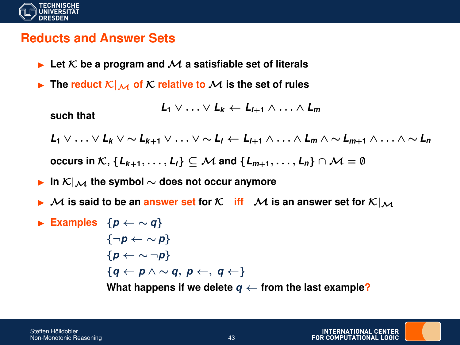

#### **Reducts and Answer Sets**

- $\blacktriangleright$  Let K be a program and M a satisfiable set of literals
- $\blacktriangleright$  The reduct  $\mathcal{K}|_{\mathcal{M}}$  of  $\mathcal{K}$  relative to  $\mathcal{M}$  is the set of rules

$$
L_1 \vee \ldots \vee L_k \leftarrow L_{l+1} \wedge \ldots \wedge L_m
$$

**such that**

*L***<sup>1</sup>** ∨ . . . ∨ *L<sup>k</sup>* ∨ ∼ *Lk*+**<sup>1</sup>** ∨ . . . ∨ ∼ *L<sup>l</sup>* ← *Ll*+**<sup>1</sup>** ∧ . . . ∧ *L<sup>m</sup>* ∧ ∼ *Lm*+**<sup>1</sup>** ∧ . . . ∧ ∼ *L<sup>n</sup>*

**occurs in**  $\mathcal{K}, \{L_{k+1}, \ldots, L_l\}$  ⊂  $\mathcal{M}$  and  $\{L_{m+1}, \ldots, L_n\}$  ∩  $\mathcal{M} = \emptyset$ 

- **►** In  $K|_{\mathcal{M}}$  the symbol  $\sim$  does not occur anymore
- $\blacktriangleright$  M is said to be an answer set for K iff  $\blacktriangle$  M is an answer set for  $\mathcal{K}|_{\mathcal{M}}$
- **Examples**  ${p \leftarrow \sim q}$ {¬*p* ← ∼ *p*} {*p* ← ∼ ¬*p*} {*q* ← *p* ∧ ∼ *q*, *p* ←, *q* ←} What happens if we delete  $q \leftarrow$  from the last example?

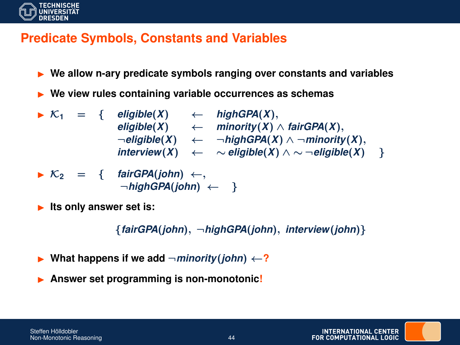

## **Predicate Symbols, Constants and Variables**

- **I** We allow n-ary predicate symbols ranging over constants and variables
- I **We view rules containing variable occurrences as schemas**
- $\triangleright$  K<sub>1</sub> = { eligible(X)  $\leftarrow$  highGPA(X),  $\leftarrow$  *minority* $(X) \wedge$  *fairGPA* $(X)$ , ¬*eligible*(*X*) ← ¬*highGPA*(*X*) ∧ ¬*minority*(*X*), *interview*(*X*) ←  $\sim$  *eligible*(*X*)  $\land$   $\sim$   $\neg$  *eligible*(*X*) }

$$
\triangleright \mathcal{K}_2 = \{ \quad \text{fairGPA(john)} \leftarrow, \\ \neg \text{highGPA(john)} \leftarrow \}
$$

**Its only answer set is:** 

{*fairGPA*(*john*), ¬*highGPA*(*john*), *interview*(*john*)}

- What happens if we add  $\neg$ *minority*(*john*)  $\leftarrow$ ?
- Answer set programming is non-monotonic!

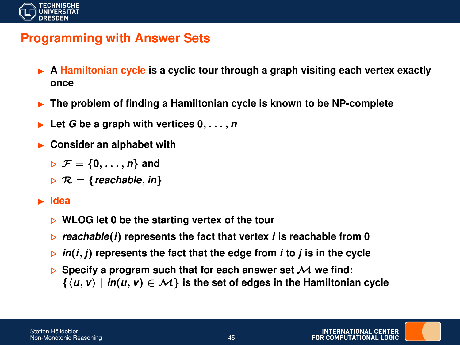

# **Programming with Answer Sets**

- ▶ A Hamiltonian cycle is a cyclic tour through a graph visiting each vertex exactly **once**
- I **The problem of finding a Hamiltonian cycle is known to be NP-complete**
- Let  $G$  be a graph with vertices  $0, \ldots, n$
- **Consider an alphabet with** 
	- $\triangleright$   $\mathcal{F} = \{0, \ldots, n\}$  and
	- $R = {reachable, in}$

#### I **Idea**

- **▷ WLOG let 0 be the starting vertex of the tour**
- . *reachable*(*i*) **represents the fact that vertex** *i* **is reachable from 0**
- $\triangleright$  *in*(*i*, *j*) represents the fact that the edge from *i* to *j* is in the cycle
- $\triangleright$  Specify a program such that for each answer set  $\mathcal M$  we find:  $\{ \langle u, v \rangle \mid in(u, v) \in \mathcal{M} \}$  is the set of edges in the Hamiltonian cycle

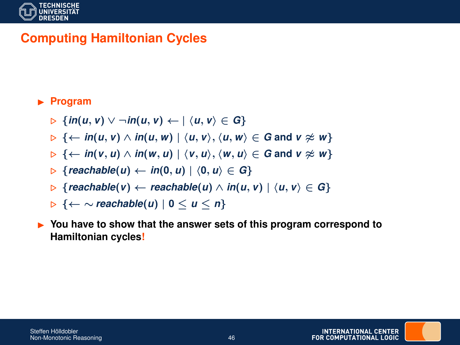

# **Computing Hamiltonian Cycles**

#### **Program**

$$
\triangleright \{in(u, v) \vee \neg in(u, v) \leftarrow |\langle u, v \rangle \in G\}
$$

- $\triangleright$  { $\leftarrow$  *in*(*u*, *v*)  $\wedge$  *in*(*u*, *w*) |  $\langle u, v \rangle$ ,  $\langle u, w \rangle \in G$  and  $v \not\approx w$ }
- $\triangleright$  { $\leftarrow$  *in*(*v*, *u*)  $\wedge$  *in*(*w*, *u*) |  $\langle v, u \rangle$ ,  $\langle w, u \rangle \in G$  and  $v \not\approx w$ }
- $\triangleright$  {*reachable*(*u*)  $\leftarrow$  *in*(0, *u*) |  $\langle 0, u \rangle \in G$ }
- $\triangleright$  {*reachable*(*v*) ← *reachable*(*u*)  $\wedge$  *in*(*u*, *v*) |  $\langle u, v \rangle \in G$ }
- . {← ∼ *reachable*(*u*) | **0** ≤ *u* ≤ *n*}

► You have to show that the answer sets of this program correspond to **Hamiltonian cycles!**